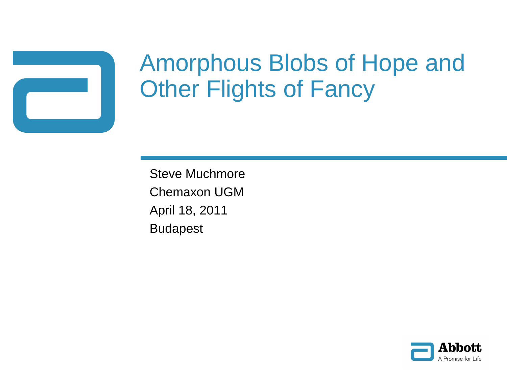

# Amorphous Blobs of Hope and **Other Flights of Fancy**

Steve Muchmore Chemaxon UGM April 18, 2011 Budapest

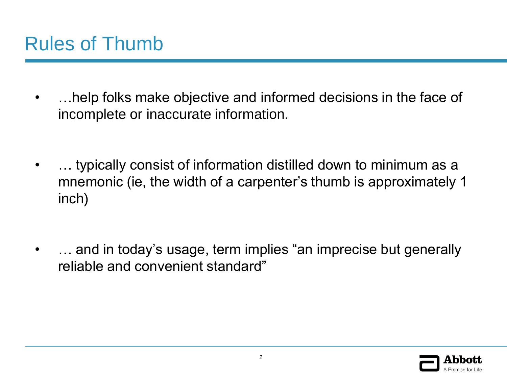- …help folks make objective and informed decisions in the face of incomplete or inaccurate information.
- … typically consist of information distilled down to minimum as a mnemonic (ie, the width of a carpenter's thumb is approximately 1 inch)
- ... and in today's usage, term implies "an imprecise but generally reliable and convenient standard"

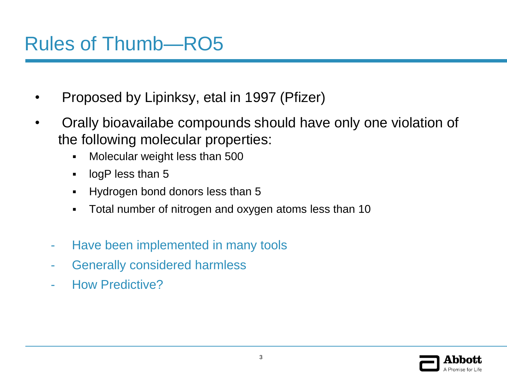# Rules of Thumb—RO5

- Proposed by Lipinksy, etal in 1997 (Pfizer)
- Orally bioavailabe compounds should have only one violation of the following molecular properties:
	- Molecular weight less than 500
	- **I** logP less than 5
	- **Hydrogen bond donors less than 5**
	- Total number of nitrogen and oxygen atoms less than 10
	- Have been implemented in many tools
	- Generally considered harmless
	- How Predictive?

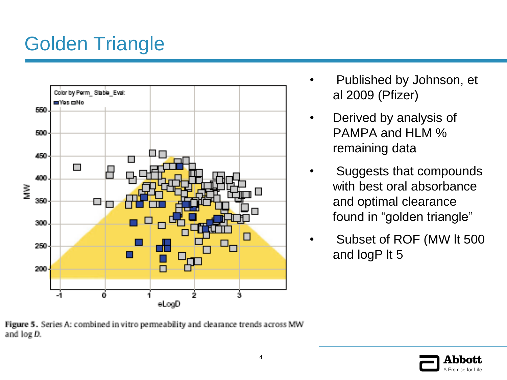# Golden Triangle



- Published by Johnson, et al 2009 (Pfizer)
- Derived by analysis of PAMPA and HLM % remaining data
- Suggests that compounds with best oral absorbance and optimal clearance found in "golden triangle"
- Subset of ROF (MW It 500 and logP lt 5

Figure 5. Series A: combined in vitro permeability and clearance trends across MW and log D.

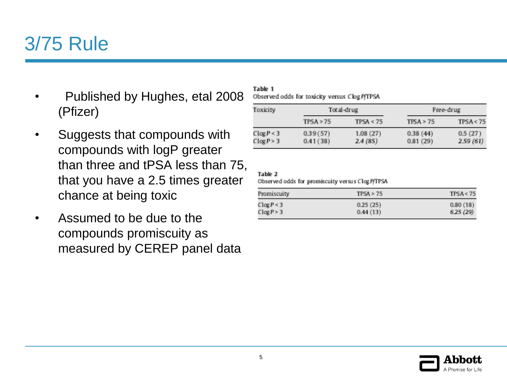#### 3/75 Rule

- Published by Hughes, etal 2008 (Pfizer)
- Suggests that compounds with compounds with logP greater than three and tPSA less than 75, that you have a 2.5 times greater chance at being toxic
- Assumed to be due to the compounds promiscuity as measured by CEREP panel data

Table 1

Observed odds for toxicity versus Clog P/TPSA

| Toxicity       | Total-drug |           | Free-drug |           |
|----------------|------------|-----------|-----------|-----------|
|                | TPSA > 75  | TPSA < 75 | TISA > 75 | TPSA < 75 |
| $C \log P < 3$ | 0.39(57)   | 1.08(27)  | 0.38(44)  | 0.5(27)   |
| $C \log P > 3$ | 0.41(38)   | 2.4(85)   | 0.81(29)  | 2.59(61)  |

#### Table 2

Observed odds for promiscuity versus Clog P/TPSA

| Promiscuity    | TPSA > 75 | TPSA < 75 |
|----------------|-----------|-----------|
| $C \log P < 3$ | 0.25(25)  | 0.80(18)  |
| Clog P > 3     | 0.44(13)  | 6.25(29)  |

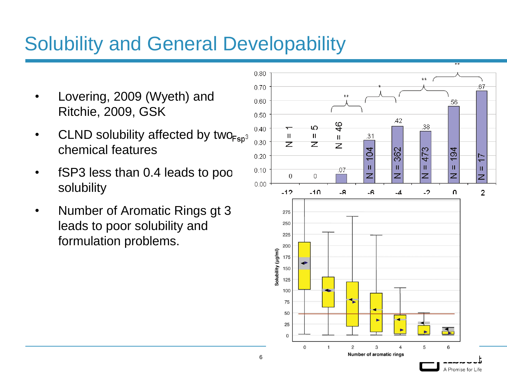# Solubility and General Developability

- Lovering, 2009 (Wyeth) and Ritchie, 2009, GSK
- CLND solubility affected by two  $F_{SD}$ <sup>3</sup> chemical features
- fSP3 less than 0.4 leads to poor solubility
- Number of Aromatic Rings gt 3 leads to poor solubility and formulation problems.

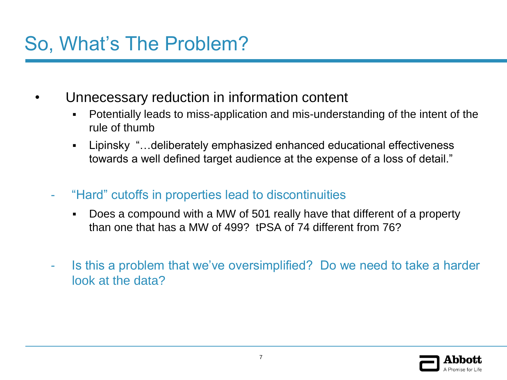# So, What's The Problem?

- Unnecessary reduction in information content
	- Potentially leads to miss-application and mis-understanding of the intent of the rule of thumb
	- Lipinsky "…deliberately emphasized enhanced educational effectiveness towards a well defined target audience at the expense of a loss of detail."
	- "Hard" cutoffs in properties lead to discontinuities
		- Does a compound with a MW of 501 really have that different of a property than one that has a MW of 499? tPSA of 74 different from 76?
	- Is this a problem that we've oversimplified? Do we need to take a harder look at the data?

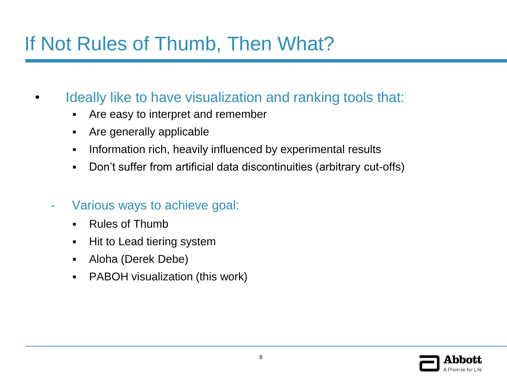# If Not Rules of Thumb, Then What?

- Ideally like to have visualization and ranking tools that:
	- Are easy to interpret and remember
	- Are generally applicable
	- **Information rich, heavily influenced by experimental results**
	- Don't suffer from artificial data discontinuities (arbitrary cut-offs)
	- Various ways to achieve goal:
		- Rules of Thumb
		- Hit to Lead tiering system
		- Aloha (Derek Debe)
		- PABOH visualization (this work)

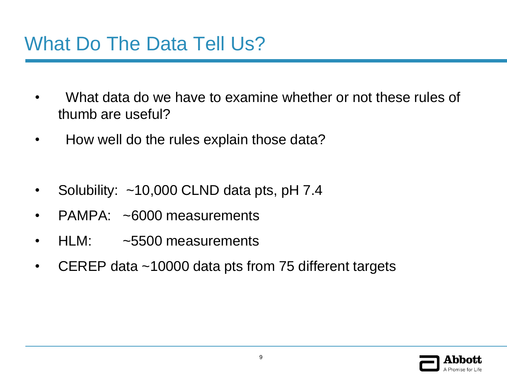#### What Do The Data Tell Us?

- What data do we have to examine whether or not these rules of thumb are useful?
- How well do the rules explain those data?
- Solubility: ~10,000 CLND data pts, pH 7.4
- PAMPA: ~6000 measurements
- HLM: ~5500 measurements
- CEREP data ~10000 data pts from 75 different targets

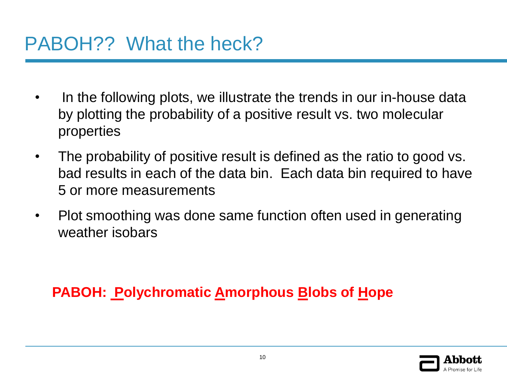- In the following plots, we illustrate the trends in our in-house data by plotting the probability of a positive result vs. two molecular properties
- The probability of positive result is defined as the ratio to good vs. bad results in each of the data bin. Each data bin required to have 5 or more measurements
- Plot smoothing was done same function often used in generating weather isobars

#### **PABOH: Polychromatic Amorphous Blobs of Hope**

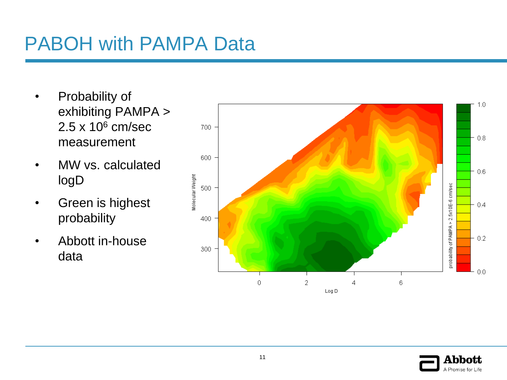# PABOH with PAMPA Data

- Probability of exhibiting PAMPA >  $2.5 \times 10^6$  cm/sec measurement
- MW vs. calculated logD
- Green is highest probability
- Abbott in-house data



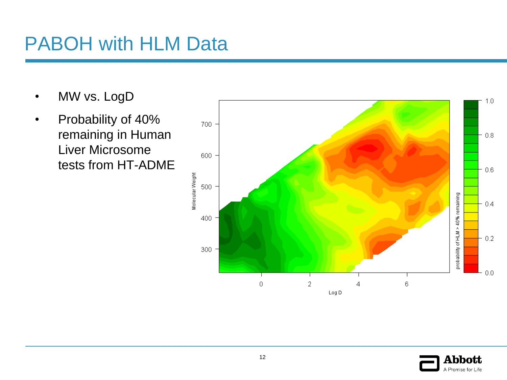#### PABOH with HLM Data

- MW vs. LogD
- Probability of 40% remaining in Human Liver Microsome tests from HT-ADME



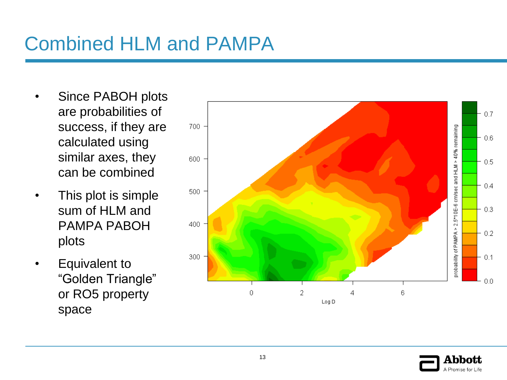# Combined HLM and PAMPA

- Since PABOH plots are probabilities of success, if they are calculated using similar axes, they can be combined
- This plot is simple sum of HLM and PAMPA PABOH plots
- Equivalent to "Golden Triangle" or RO5 property space



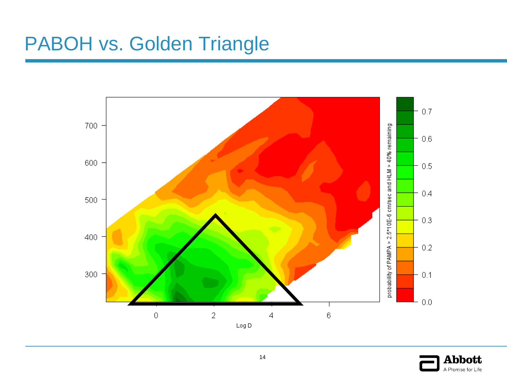# PABOH vs. Golden Triangle



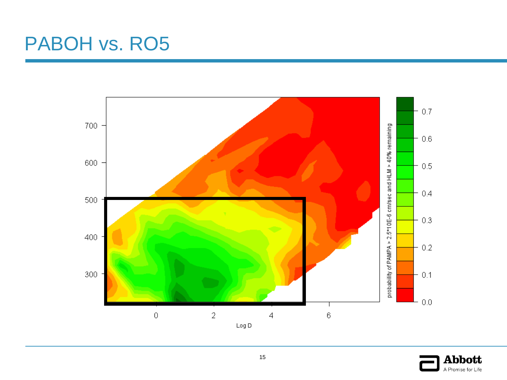# PABOH vs. RO5



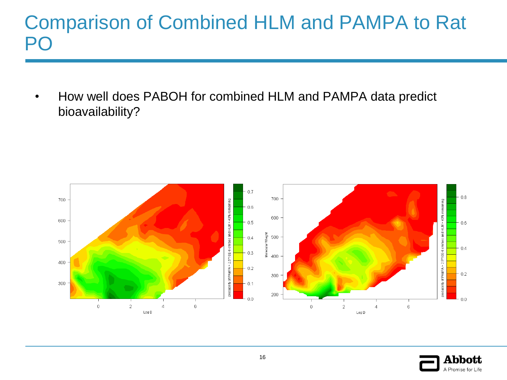#### Comparison of Combined HLM and PAMPA to Rat **DC**

• How well does PABOH for combined HLM and PAMPA data predict bioavailability?



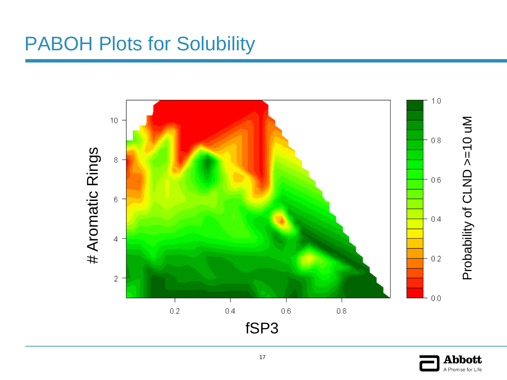#### PABOH Plots for Solubility



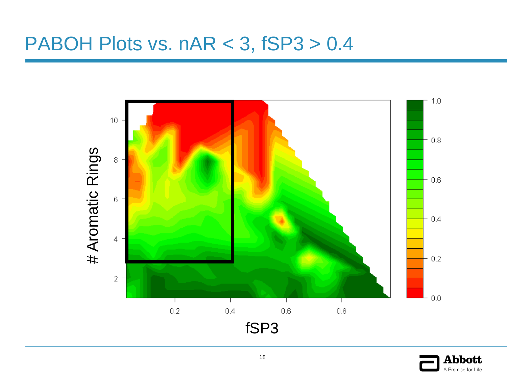#### PABOH Plots vs. nAR < 3, fSP3 > 0.4



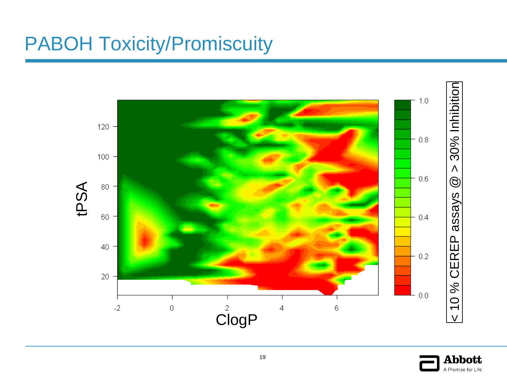# PABOH Toxicity/Promiscuity



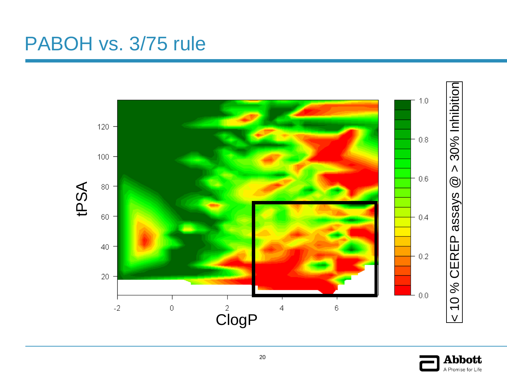#### PABOH vs. 3/75 rule



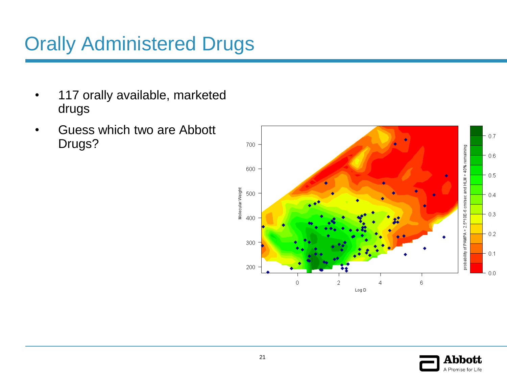# Orally Administered Drugs

- 117 orally available, marketed drugs
- Guess which two are Abbott Drugs?



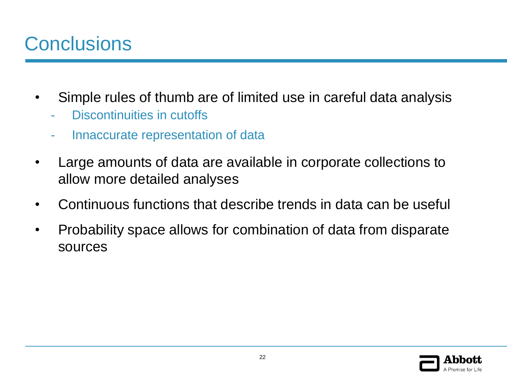# **Conclusions**

- Simple rules of thumb are of limited use in careful data analysis
	- Discontinuities in cutoffs
	- Innaccurate representation of data
- Large amounts of data are available in corporate collections to allow more detailed analyses
- Continuous functions that describe trends in data can be useful
- Probability space allows for combination of data from disparate sources